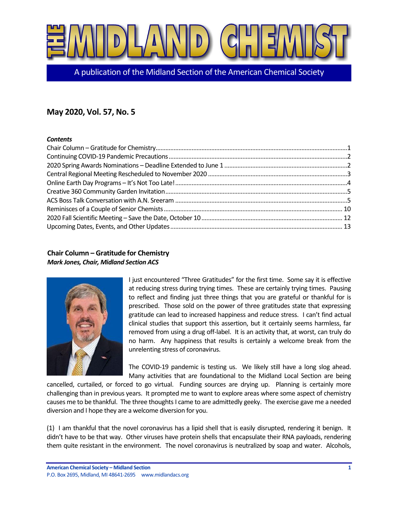

A publication of the Midland Section of the American Chemical Society

# **May 2020, Vol. 57, No. 5**

#### *Contents*

# <span id="page-0-0"></span>**Chair Column – Gratitude for Chemistry** *Mark Jones, Chair, Midland Section ACS*



I just encountered "Three Gratitudes" for the first time. Some say it is effective at reducing stress during trying times. These are certainly trying times. Pausing to reflect and finding just three things that you are grateful or thankful for is prescribed. Those sold on the power of three gratitudes state that expressing gratitude can lead to increased happiness and reduce stress. I can't find actual clinical studies that support this assertion, but it certainly seems harmless, far removed from using a drug off-label. It is an activity that, at worst, can truly do no harm. Any happiness that results is certainly a welcome break from the unrelenting stress of coronavirus.

The COVID-19 pandemic is testing us. We likely still have a long slog ahead. Many activities that are foundational to the Midland Local Section are being

cancelled, curtailed, or forced to go virtual. Funding sources are drying up. Planning is certainly more challenging than in previous years. It prompted me to want to explore areas where some aspect of chemistry causes me to be thankful. The three thoughts I came to are admittedly geeky. The exercise gave me a needed diversion and I hope they are a welcome diversion for you.

(1) I am thankful that the novel coronavirus has a lipid shell that is easily disrupted, rendering it benign. It didn't have to be that way. Other viruses have protein shells that encapsulate their RNA payloads, rendering them quite resistant in the environment. The novel coronavirus is neutralized by soap and water. Alcohols,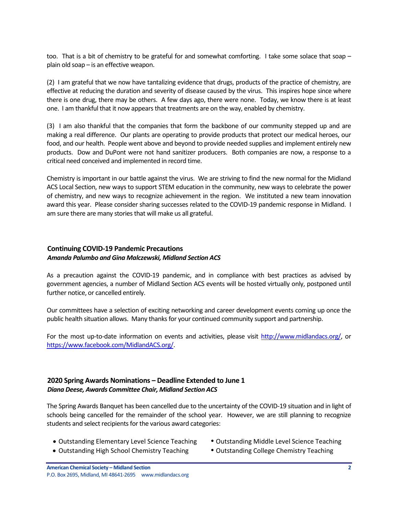too. That is a bit of chemistry to be grateful for and somewhat comforting. I take some solace that soap – plain old soap – is an effective weapon.

(2) I am grateful that we now have tantalizing evidence that drugs, products of the practice of chemistry, are effective at reducing the duration and severity of disease caused by the virus. This inspires hope since where there is one drug, there may be others. A few days ago, there were none. Today, we know there is at least one. I am thankful that it now appears that treatments are on the way, enabled by chemistry.

(3) I am also thankful that the companies that form the backbone of our community stepped up and are making a real difference. Our plants are operating to provide products that protect our medical heroes, our food, and our health. People went above and beyond to provide needed supplies and implement entirely new products. Dow and DuPont were not hand sanitizer producers. Both companies are now, a response to a critical need conceived and implemented in record time.

Chemistry is important in our battle against the virus. We are striving to find the new normal for the Midland ACS Local Section, new ways to support STEM education in the community, new ways to celebrate the power of chemistry, and new ways to recognize achievement in the region. We instituted a new team innovation award this year. Please consider sharing successes related to the COVID-19 pandemic response in Midland. I am sure there are many stories that will make us all grateful.

### <span id="page-1-0"></span>**Continuing COVID-19 Pandemic Precautions** *Amanda Palumbo and Gina Malczewski, Midland Section ACS*

As a precaution against the COVID-19 pandemic, and in compliance with best practices as advised by government agencies, a number of Midland Section ACS events will be hosted virtually only, postponed until further notice, or cancelled entirely.

Our committees have a selection of exciting networking and career development events coming up once the public health situation allows. Many thanks for your continued community support and partnership.

For the most up-to-date information on events and activities, please visit [http://www.midlandacs.org/,](http://www.midlandacs.org/) or [https://www.facebook.com/MidlandACS.org/.](https://www.facebook.com/MidlandACS.org/)

### <span id="page-1-1"></span>**2020 Spring Awards Nominations – Deadline Extended to June 1** *Diana Deese, Awards Committee Chair, Midland Section ACS*

The Spring Awards Banquet has been cancelled due to the uncertainty of the COVID-19 situation and in light of schools being cancelled for the remainder of the school year. However, we are still planning to recognize students and select recipients for the various award categories:

- Outstanding Elementary Level Science Teaching Outstanding Middle Level Science Teaching
- 
- Outstanding High School Chemistry Teaching Outstanding College Chemistry Teaching
-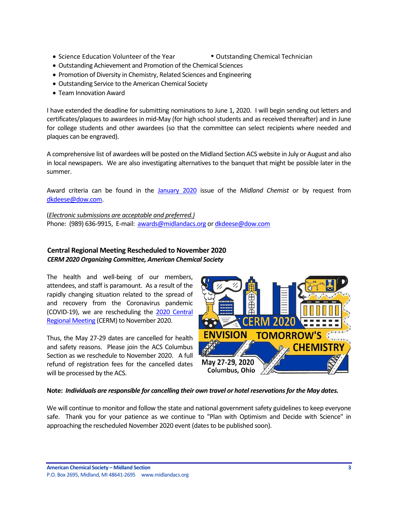- Science Education Volunteer of the Year **•** Outstanding Chemical Technician
	-
- Outstanding Achievement and Promotion of the Chemical Sciences
- Promotion of Diversity in Chemistry, Related Sciences and Engineering
- Outstanding Service to the American Chemical Society
- Team Innovation Award

I have extended the deadline for submitting nominations to June 1, 2020. I will begin sending out letters and certificates/plaques to awardees in mid-May (for high school students and as received thereafter) and in June for college students and other awardees (so that the committee can select recipients where needed and plaques can be engraved).

A comprehensive list of awardees will be posted on the Midland Section ACS website in July or August and also in local newspapers. We are also investigating alternatives to the banquet that might be possible later in the summer.

Award criteria can be found in the [January 2020](https://secureservercdn.net/184.168.47.225/051.976.myftpupload.com/wp-content/uploads/2020/01/January-2020-Vol.-57-No.-1-Midland-Chemist.pdf) issue of the *Midland Chemist* or by request from [dkdeese@dow.com.](mailto:dkdeese@dow.com)

(*Electronic submissions are acceptable and preferred.)* Phone: (989) 636-9915, E-mail: [awards@midlandacs.org](mailto:awards@midlandacs.org) o[r dkdeese@dow.com](mailto:dkdeese@dow.com)

### <span id="page-2-0"></span>**Central Regional Meeting Rescheduled to November 2020** *CERM 2020 Organizing Committee, American Chemical Society*

The health and well-being of our members, attendees, and staff is paramount. As a result of the rapidly changing situation related to the spread of and recovery from the Coronavirus pandemic (COVID-19), we are rescheduling the [2020 Central](https://cerm2020.org/?sc=200226_mtg_em_regional_CERM_od)  [Regional Meeting](https://cerm2020.org/?sc=200226_mtg_em_regional_CERM_od) (CERM) to November 2020.

Thus, the May 27-29 dates are cancelled for health and safety reasons. Please join the ACS Columbus Section as we reschedule to November 2020. A full refund of registration fees for the cancelled dates will be processed by the ACS.



### **Note:** *Individuals are responsible for cancelling their own travel or hotel reservations for the May dates.*

We will continue to monitor and follow the state and national government safety guidelines to keep everyone safe. Thank you for your patience as we continue to "Plan with Optimism and Decide with Science" in approaching the rescheduled November 2020 event (dates to be published soon).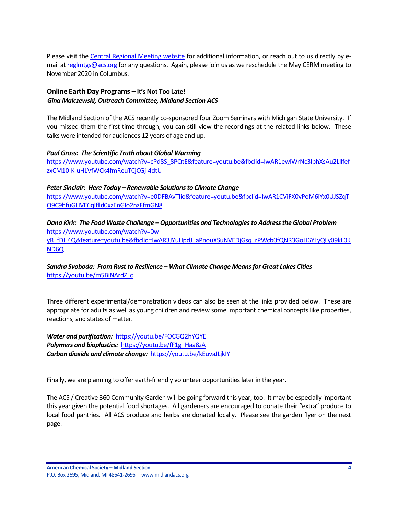Please visit the [Central Regional Meeting website](https://cerm2020.org/?sc=200226_mtg_em_regional_CERM_od) for additional information, or reach out to us directly by email a[t reglmtgs@acs.org](mailto:reglmtgs@acs.org) for any questions. Again, please join us as we reschedule the May CERM meeting to November 2020 in Columbus.

### <span id="page-3-0"></span>**Online Earth Day Programs – It's Not Too Late!** *Gina Malczewski, Outreach Committee, Midland Section ACS*

The Midland Section of the ACS recently co-sponsored four Zoom Seminars with Michigan State University. If you missed them the first time through, you can still view the recordings at the related links below. These talks were intended for audiences 12 years of age and up.

#### *Paul Gross: The Scientific Truth about Global Warming*

[https://www.youtube.com/watch?v=cPd8S\\_8PQtE&feature=youtu.be&fbclid=IwAR1ewlWrNc3lbhXsAu2Lllfef](https://www.youtube.com/watch?v=cPd8S_8PQtE&feature=youtu.be&fbclid=IwAR1ewlWrNc3lbhXsAu2LllfefzxCM10-K-uHLVfWCk4fmReuTCjCGj-4dtU) [zxCM10-K-uHLVfWCk4fmReuTCjCGj-4dtU](https://www.youtube.com/watch?v=cPd8S_8PQtE&feature=youtu.be&fbclid=IwAR1ewlWrNc3lbhXsAu2LllfefzxCM10-K-uHLVfWCk4fmReuTCjCGj-4dtU)

#### *Peter Sinclair: Here Today – Renewable Solutions to Climate Change*

[https://www.youtube.com/watch?v=e0DFBAvTIio&feature=youtu.be&fbclid=IwAR1CViFX0vPoM6lYx0UJSZqT](https://www.youtube.com/watch?v=e0DFBAvTIio&feature=youtu.be&fbclid=IwAR1CViFX0vPoM6lYx0UJSZqTO9C9hfuGHVE6qlflld0xzEnGIo2nzFfmGN8) [O9C9hfuGHVE6qlflld0xzEnGIo2nzFfmGN8](https://www.youtube.com/watch?v=e0DFBAvTIio&feature=youtu.be&fbclid=IwAR1CViFX0vPoM6lYx0UJSZqTO9C9hfuGHVE6qlflld0xzEnGIo2nzFfmGN8)

#### *Dana Kirk: The Food Waste Challenge –Opportunities and Technologies to Address the Global Problem* [https://www.youtube.com/watch?v=0w-](https://www.youtube.com/watch?v=0w-yR_fDH4Q&feature=youtu.be&fbclid=IwAR3JYuHpdJ_aPnouXSuNVEDjGsq_rPWcb0fQNR3GoH6YLyQLy09kL0KND6Q)

[yR\\_fDH4Q&feature=youtu.be&fbclid=IwAR3JYuHpdJ\\_aPnouXSuNVEDjGsq\\_rPWcb0fQNR3GoH6YLyQLy09kL0K](https://www.youtube.com/watch?v=0w-yR_fDH4Q&feature=youtu.be&fbclid=IwAR3JYuHpdJ_aPnouXSuNVEDjGsq_rPWcb0fQNR3GoH6YLyQLy09kL0KND6Q) [ND6Q](https://www.youtube.com/watch?v=0w-yR_fDH4Q&feature=youtu.be&fbclid=IwAR3JYuHpdJ_aPnouXSuNVEDjGsq_rPWcb0fQNR3GoH6YLyQLy09kL0KND6Q)

### *Sandra Svoboda: From Rust to Resilience – What Climate Change Means for Great Lakes Cities* <https://youtu.be/m5BiNArdZLc>

Three different experimental/demonstration videos can also be seen at the links provided below. These are appropriate for adults as well as young children and review some important chemical concepts like properties, reactions, and states of matter.

*Water and purification:* <https://youtu.be/FOCGQ2hYQYE> **Polymers and bioplastics: [https://youtu.be/fF1g\\_Haa8zA](https://youtu.be/fF1g_Haa8zA)** *Carbon dioxide and climate change:*<https://youtu.be/kEuvaJLjkIY>

Finally, we are planning to offer earth-friendly volunteer opportunities later in the year.

The ACS / Creative 360 Community Garden will be going forward this year, too. It may be especially important this year given the potential food shortages. All gardeners are encouraged to donate their "extra" produce to local food pantries. All ACS produce and herbs are donated locally. Please see the garden flyer on the next page.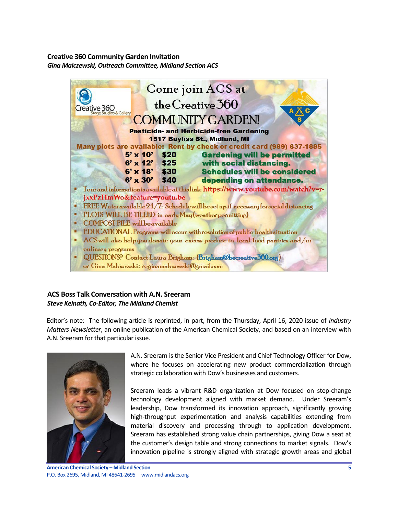# <span id="page-4-0"></span>**Creative 360 Community Garden Invitation** *Gina Malczewski, Outreach Committee, Midland Section ACS*



### <span id="page-4-1"></span>**ACS Boss Talk Conversation with A.N. Sreeram** *Steve Keinath, Co-Editor, The Midland Chemist*

Editor's note: The following article is reprinted, in part, from the Thursday, April 16, 2020 issue of *Industry Matters Newsletter*, an online publication of the American Chemical Society, and based on an interview with A.N. Sreeram for that particular issue.



A.N. Sreeram is the Senior Vice President and Chief Technology Officer for Dow, where he focuses on accelerating new product commercialization through strategic collaboration with Dow's businesses and customers.

Sreeram leads a vibrant R&D organization at Dow focused on step-change technology development aligned with market demand. Under Sreeram's leadership, Dow transformed its innovation approach, significantly growing high-throughput experimentation and analysis capabilities extending from material discovery and processing through to application development. Sreeram has established strong value chain partnerships, giving Dow a seat at the customer's design table and strong connections to market signals. Dow's innovation pipeline is strongly aligned with strategic growth areas and global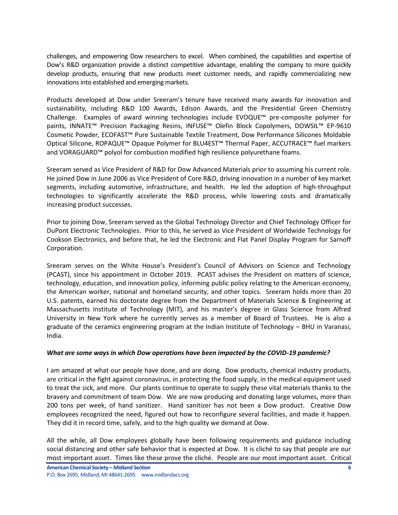challenges, and empowering Dow researchers to excel. When combined, the capabilities and expertise of Dow's R&D organization provide a distinct competitive advantage, enabling the company to more quickly develop products, ensuring that new products meet customer needs, and rapidly commercializing new innovations into established and emerging markets.

Products developed at Dow under Sreeram's tenure have received many awards for innovation and sustainability, including R&D 100 Awards, Edison Awards, and the Presidential Green Chemistry Challenge. Examples of award winning technologies include EVOQUE™ pre-composite polymer for paints, INNATE™ Precision Packaging Resins, INFUSE™ Olefin Block Copolymers, DOWSIL™ EP-9610 Cosmetic Powder, ECOFAST™ Pure Sustainable Textile Treatment, Dow Performance Silicones Moldable Optical Silicone, ROPAQUE™ Opaque Polymer for BLU4EST™ Thermal Paper, ACCUTRACE™ fuel markers and VORAGUARD™ polyol for combustion modified high resilience polyurethane foams.

Sreeram served as Vice President of R&D for Dow Advanced Materials prior to assuming his current role. He joined Dow in June 2006 as Vice President of Core R&D, driving innovation in a number of key market segments, including automotive, infrastructure, and health. He led the adoption of high-throughput technologies to significantly accelerate the R&D process, while lowering costs and dramatically increasing product successes.

Prior to joining Dow, Sreeram served as the Global Technology Director and Chief Technology Officer for DuPont Electronic Technologies. Prior to this, he served as Vice President of Worldwide Technology for Cookson Electronics, and before that, he led the Electronic and Flat Panel Display Program for Sarnoff Corporation.

Sreeram serves on the White House's President's Council of Advisors on Science and Technology (PCAST), since his appointment in October 2019. PCAST advises the President on matters of science, technology, education, and innovation policy, informing public policy relating to the American economy, the American worker, national and homeland security, and other topics. Sreeram holds more than 20 U.S. patents, earned his doctorate degree from the Department of Materials Science & Engineering at Massachusetts Institute of Technology (MIT), and his master's degree in Glass Science from Alfred University in New York where he currently serves as a member of Board of Trustees. He is also a graduate of the ceramics engineering program at the Indian Institute of Technology – BHU in Varanasi, India.

#### *What are some ways in which Dow operations have been impacted by the COVID-19 pandemic?*

I am amazed at what our people have done, and are doing. Dow products, chemical industry products, are critical in the fight against coronavirus, in protecting the food supply, in the medical equipment used to treat the sick, and more. Our plants continue to operate to supply these vital materials thanks to the bravery and commitment of team Dow. We are now producing and donating large volumes, more than 200 tons per week, of hand sanitizer. Hand sanitizer has not been a Dow product. Creative Dow employees recognized the need, figured out how to reconfigure several facilities, and made it happen. They did it in record time, safely, and to the high quality we demand at Dow.

All the while, all Dow employees globally have been following requirements and guidance including social distancing and other safe behavior that is expected at Dow. It is cliché to say that people are our most important asset. Times like these prove the cliché. People are our most important asset. Critical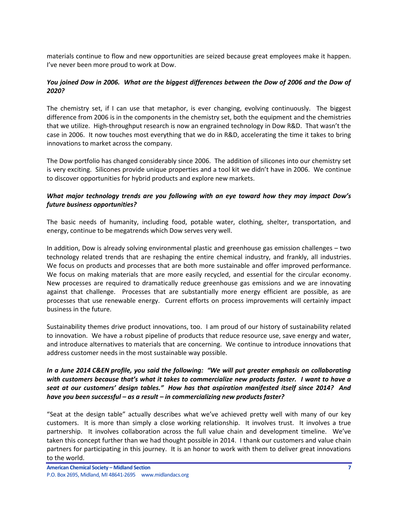materials continue to flow and new opportunities are seized because great employees make it happen. I've never been more proud to work at Dow.

# *You joined Dow in 2006. What are the biggest differences between the Dow of 2006 and the Dow of 2020?*

The chemistry set, if I can use that metaphor, is ever changing, evolving continuously. The biggest difference from 2006 is in the components in the chemistry set, both the equipment and the chemistries that we utilize. High-throughput research is now an engrained technology in Dow R&D. That wasn't the case in 2006. It now touches most everything that we do in R&D, accelerating the time it takes to bring innovations to market across the company.

The Dow portfolio has changed considerably since 2006. The addition of silicones into our chemistry set is very exciting. Silicones provide unique properties and a tool kit we didn't have in 2006. We continue to discover opportunities for hybrid products and explore new markets.

### *What major technology trends are you following with an eye toward how they may impact Dow's future business opportunities?*

The basic needs of humanity, including food, potable water, clothing, shelter, transportation, and energy, continue to be megatrends which Dow serves very well.

In addition, Dow is already solving environmental plastic and greenhouse gas emission challenges – two technology related trends that are reshaping the entire chemical industry, and frankly, all industries. We focus on products and processes that are both more sustainable and offer improved performance. We focus on making materials that are more easily recycled, and essential for the circular economy. New processes are required to dramatically reduce greenhouse gas emissions and we are innovating against that challenge. Processes that are substantially more energy efficient are possible, as are processes that use renewable energy. Current efforts on process improvements will certainly impact business in the future.

Sustainability themes drive product innovations, too. I am proud of our history of sustainability related to innovation. We have a robust pipeline of products that reduce resource use, save energy and water, and introduce alternatives to materials that are concerning. We continue to introduce innovations that address customer needs in the most sustainable way possible.

#### *In a June 2014 C&EN profile, you said the following: "We will put greater emphasis on collaborating with customers because that's what it takes to commercialize new products faster. I want to have a seat at our customers' design tables." How has that aspiration manifested itself since 2014? And have you been successful – as a result – in commercializing new products faster?*

"Seat at the design table" actually describes what we've achieved pretty well with many of our key customers. It is more than simply a close working relationship. It involves trust. It involves a true partnership. It involves collaboration across the full value chain and development timeline. We've taken this concept further than we had thought possible in 2014. I thank our customers and value chain partners for participating in this journey. It is an honor to work with them to deliver great innovations to the world.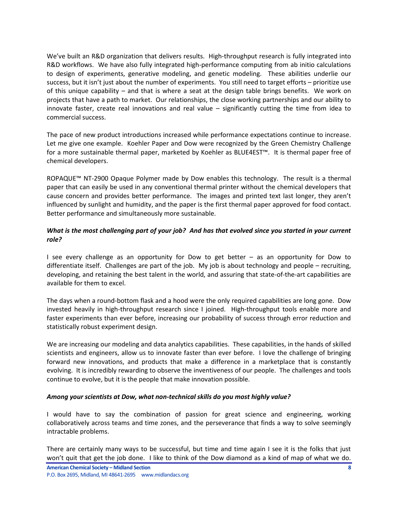We've built an R&D organization that delivers results. High-throughput research is fully integrated into R&D workflows. We have also fully integrated high-performance computing from ab initio calculations to design of experiments, generative modeling, and genetic modeling. These abilities underlie our success, but it isn't just about the number of experiments. You still need to target efforts – prioritize use of this unique capability – and that is where a seat at the design table brings benefits. We work on projects that have a path to market. Our relationships, the close working partnerships and our ability to innovate faster, create real innovations and real value – significantly cutting the time from idea to commercial success.

The pace of new product introductions increased while performance expectations continue to increase. Let me give one example. Koehler Paper and Dow were recognized by the Green Chemistry Challenge for a more sustainable thermal paper, marketed by Koehler as BLUE4EST™. It is thermal paper free of chemical developers.

ROPAQUE™ NT-2900 Opaque Polymer made by Dow enables this technology. The result is a thermal paper that can easily be used in any conventional thermal printer without the chemical developers that cause concern and provides better performance. The images and printed text last longer, they aren't influenced by sunlight and humidity, and the paper is the first thermal paper approved for food contact. Better performance and simultaneously more sustainable.

# *What is the most challenging part of your job? And has that evolved since you started in your current role?*

I see every challenge as an opportunity for Dow to get better – as an opportunity for Dow to differentiate itself. Challenges are part of the job. My job is about technology and people – recruiting, developing, and retaining the best talent in the world, and assuring that state-of-the-art capabilities are available for them to excel.

The days when a round-bottom flask and a hood were the only required capabilities are long gone. Dow invested heavily in high-throughput research since I joined. High-throughput tools enable more and faster experiments than ever before, increasing our probability of success through error reduction and statistically robust experiment design.

We are increasing our modeling and data analytics capabilities. These capabilities, in the hands of skilled scientists and engineers, allow us to innovate faster than ever before. I love the challenge of bringing forward new innovations, and products that make a difference in a marketplace that is constantly evolving. It is incredibly rewarding to observe the inventiveness of our people. The challenges and tools continue to evolve, but it is the people that make innovation possible.

#### *Among your scientists at Dow, what non-technical skills do you most highly value?*

I would have to say the combination of passion for great science and engineering, working collaboratively across teams and time zones, and the perseverance that finds a way to solve seemingly intractable problems.

There are certainly many ways to be successful, but time and time again I see it is the folks that just won't quit that get the job done. I like to think of the Dow diamond as a kind of map of what we do.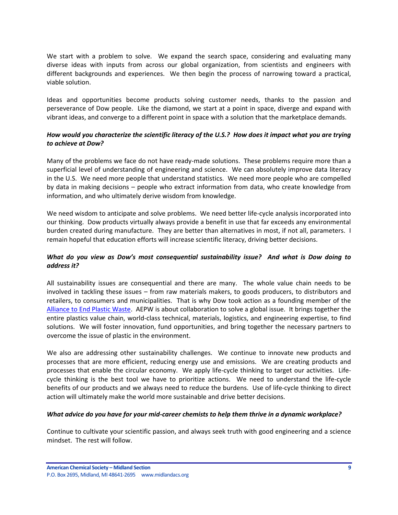We start with a problem to solve. We expand the search space, considering and evaluating many diverse ideas with inputs from across our global organization, from scientists and engineers with different backgrounds and experiences. We then begin the process of narrowing toward a practical, viable solution.

Ideas and opportunities become products solving customer needs, thanks to the passion and perseverance of Dow people. Like the diamond, we start at a point in space, diverge and expand with vibrant ideas, and converge to a different point in space with a solution that the marketplace demands.

### *How would you characterize the scientific literacy of the U.S.? How does it impact what you are trying to achieve at Dow?*

Many of the problems we face do not have ready-made solutions. These problems require more than a superficial level of understanding of engineering and science. We can absolutely improve data literacy in the U.S. We need more people that understand statistics. We need more people who are compelled by data in making decisions – people who extract information from data, who create knowledge from information, and who ultimately derive wisdom from knowledge.

We need wisdom to anticipate and solve problems. We need better life-cycle analysis incorporated into our thinking. Dow products virtually always provide a benefit in use that far exceeds any environmental burden created during manufacture. They are better than alternatives in most, if not all, parameters. I remain hopeful that education efforts will increase scientific literacy, driving better decisions.

### *What do you view as Dow's most consequential sustainability issue? And what is Dow doing to address it?*

All sustainability issues are consequential and there are many. The whole value chain needs to be involved in tackling these issues – from raw materials makers, to goods producers, to distributors and retailers, to consumers and municipalities. That is why Dow took action as a founding member of the [Alliance to End Plastic Waste.](https://endplasticwaste.org/) AEPW is about collaboration to solve a global issue. It brings together the entire plastics value chain, world-class technical, materials, logistics, and engineering expertise, to find solutions. We will foster innovation, fund opportunities, and bring together the necessary partners to overcome the issue of plastic in the environment.

We also are addressing other sustainability challenges. We continue to innovate new products and processes that are more efficient, reducing energy use and emissions. We are creating products and processes that enable the circular economy. We apply life-cycle thinking to target our activities. Lifecycle thinking is the best tool we have to prioritize actions. We need to understand the life-cycle benefits of our products and we always need to reduce the burdens. Use of life-cycle thinking to direct action will ultimately make the world more sustainable and drive better decisions.

#### *What advice do you have for your mid-career chemists to help them thrive in a dynamic workplace?*

Continue to cultivate your scientific passion, and always seek truth with good engineering and a science mindset. The rest will follow.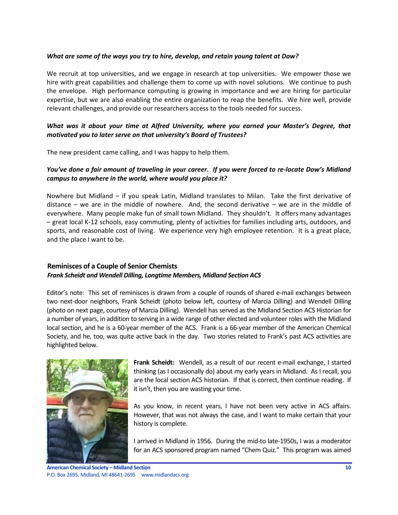#### *What are some of the ways you try to hire, develop, and retain young talent at Dow?*

We recruit at top universities, and we engage in research at top universities. We empower those we hire with great capabilities and challenge them to come up with novel solutions. We continue to push the envelope. High performance computing is growing in importance and we are hiring for particular expertise, but we are also enabling the entire organization to reap the benefits. We hire well, provide relevant challenges, and provide our researchers access to the tools needed for success.

#### *What was it about your time at Alfred University, where you earned your Master's Degree, that motivated you to later serve on that university's Board of Trustees?*

The new president came calling, and I was happy to help them.

#### *You've done a fair amount of traveling in your career. If you were forced to re-locate Dow's Midland campus to anywhere in the world, where would you place it?*

Nowhere but Midland – if you speak Latin, Midland translates to Milan. Take the first derivative of distance – we are in the middle of nowhere. And, the second derivative – we are in the middle of everywhere. Many people make fun of small town Midland. They shouldn't. It offers many advantages – great local K-12 schools, easy commuting, plenty of activities for families including arts, outdoors, and sports, and reasonable cost of living. We experience very high employee retention. It is a great place, and the place I want to be.

### <span id="page-9-0"></span>**Reminisces of a Couple of Senior Chemists** *Frank Scheidt and Wendell Dilling, Longtime Members, Midland Section ACS*

Editor's note: This set of reminisces is drawn from a couple of rounds of shared e-mail exchanges between two next-door neighbors, Frank Scheidt (photo below left, courtesy of Marcia Dilling) and Wendell Dilling (photo on next page, courtesy of Marcia Dilling). Wendell has served as the Midland Section ACS Historian for a number of years, in addition to serving in a wide range of other elected and volunteer roles with the Midland local section, and he is a 60-year member of the ACS. Frank is a 66-year member of the American Chemical Society, and he, too, was quite active back in the day. Two stories related to Frank's past ACS activities are highlighted below.



**Frank Scheidt:** Wendell, as a result of our recent e-mail exchange, I started thinking (as I occasionally do) about my early years in Midland. As I recall, you are the local section ACS historian. If that is correct, then continue reading. If it isn't, then you are wasting your time.

As you know, in recent years, I have not been very active in ACS affairs. However, that was not always the case, and I want to make certain that your history is complete.

I arrived in Midland in 1956. During the mid-to late-1950s, I was a moderator for an ACS sponsored program named "Chem Quiz." This program was aimed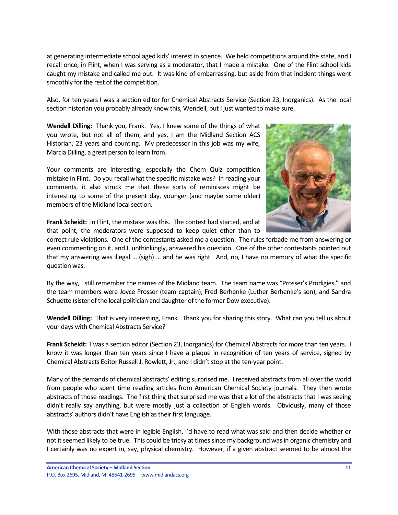at generating intermediate school aged kids' interest in science. We held competitions around the state, and I recall once, in Flint, when I was serving as a moderator, that I made a mistake. One of the Flint school kids caught my mistake and called me out. It was kind of embarrassing, but aside from that incident things went smoothly for the rest of the competition.

Also, for ten years I was a section editor for Chemical Abstracts Service (Section 23, Inorganics). As the local section historian you probably already know this, Wendell, but I just wanted to make sure.

**Wendell Dilling:** Thank you, Frank. Yes, I knew some of the things of what you wrote, but not all of them, and yes, I am the Midland Section ACS Historian, 23 years and counting. My predecessor in this job was my wife, Marcia Dilling, a great person to learn from.

Your comments are interesting, especially the Chem Quiz competition mistake in Flint. Do you recall what the specific mistake was? In reading your comments, it also struck me that these sorts of reminisces might be interesting to some of the present day, younger (and maybe some older) members of the Midland local section.



**Frank Scheidt:** In Flint, the mistake was this. The contest had started, and at that point, the moderators were supposed to keep quiet other than to

correct rule violations. One of the contestants asked me a question. The rules forbade me from answering or even commenting on it, and I, unthinkingly, answered his question. One of the other contestants pointed out that my answering was illegal … (sigh) … and he was right. And, no, I have no memory of what the specific question was.

By the way, I still remember the names of the Midland team. The team name was "Prosser's Prodigies," and the team members were Joyce Prosser (team captain), Fred Berhenke (Luther Berhenke's son), and Sandra Schuette (sister of the local politician and daughter of the former Dow executive).

**Wendell Dilling:** That is very interesting, Frank. Thank you for sharing this story. What can you tell us about your days with Chemical Abstracts Service?

**Frank Scheidt:** I was a section editor (Section 23, Inorganics) for Chemical Abstracts for more than ten years. I know it was longer than ten years since I have a plaque in recognition of ten years of service, signed by Chemical Abstracts Editor Russell J. Rowlett, Jr., and I didn't stop at the ten-year point.

Many of the demands of chemical abstracts' editing surprised me. I received abstracts from all over the world from people who spent time reading articles from American Chemical Society journals. They then wrote abstracts of those readings. The first thing that surprised me was that a lot of the abstracts that I was seeing didn't really say anything, but were mostly just a collection of English words. Obviously, many of those abstracts' authors didn't have English as their first language.

With those abstracts that were in legible English, I'd have to read what was said and then decide whether or not it seemed likely to be true. This could be tricky at times since my background was in organic chemistry and I certainly was no expert in, say, physical chemistry. However, if a given abstract seemed to be almost the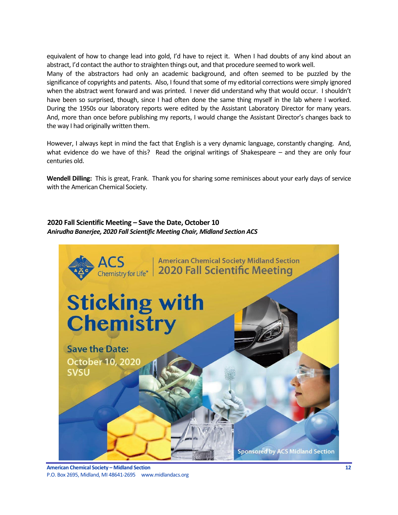equivalent of how to change lead into gold, I'd have to reject it. When I had doubts of any kind about an abstract, I'd contact the author to straighten things out, and that procedure seemed to work well.

Many of the abstractors had only an academic background, and often seemed to be puzzled by the significance of copyrights and patents. Also, I found that some of my editorial corrections were simply ignored when the abstract went forward and was printed. I never did understand why that would occur. I shouldn't have been so surprised, though, since I had often done the same thing myself in the lab where I worked. During the 1950s our laboratory reports were edited by the Assistant Laboratory Director for many years. And, more than once before publishing my reports, I would change the Assistant Director's changes back to the way I had originally written them.

However, I always kept in mind the fact that English is a very dynamic language, constantly changing. And, what evidence do we have of this? Read the original writings of Shakespeare – and they are only four centuries old.

**Wendell Dilling:** This is great, Frank. Thank you for sharing some reminisces about your early days of service with the American Chemical Society.

# <span id="page-11-0"></span>**2020 Fall Scientific Meeting – Save the Date, October 10** *Anirudha Banerjee, 2020 Fall Scientific Meeting Chair, Midland Section ACS*

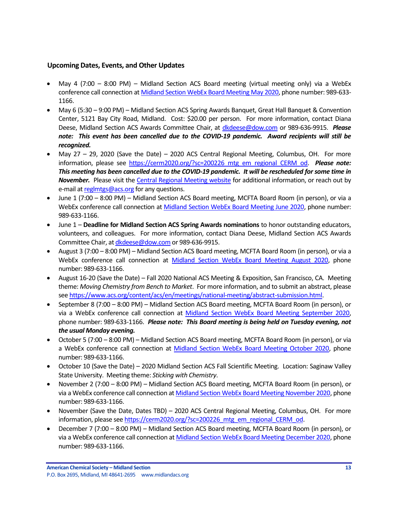#### <span id="page-12-0"></span>**Upcoming Dates, Events, and Other Updates**

- May 4 (7:00 8:00 PM) Midland Section ACS Board meeting (virtual meeting only) via a WebEx conference call connection at [Midland Section WebEx Board Meeting May 2020,](https://dow.webex.com/webappng/sites/dow/meeting/info/147369119023403198?MTID=m97c16758c795093aaa8840be9a9484f3) phone number: 989-633- 1166.
- May 6 (5:30 9:00 PM) Midland Section ACS Spring Awards Banquet, Great Hall Banquet & Convention Center, 5121 Bay City Road, Midland. Cost: \$20.00 per person. For more information, contact Diana Deese, Midland Section ACS Awards Committee Chair, at [dkdeese@dow.com](mailto:dkdeese@dow.com) or 989-636-9915. *Please note: This event has been cancelled due to the COVID-19 pandemic. Award recipients will still be recognized.*
- May 27 29, 2020 (Save the Date) 2020 ACS Central Regional Meeting, Columbus, OH. For more information, please see [https://cerm2020.org/?sc=200226\\_mtg\\_em\\_regional\\_CERM\\_od.](https://cerm2020.org/?sc=200226_mtg_em_regional_CERM_od) *Please note: This meeting has been cancelled due to the COVID-19 pandemic. It will be rescheduled for some time in November.* Please visit the [Central Regional Meeting website](https://cerm2020.org/?sc=200226_mtg_em_regional_CERM_od) for additional information, or reach out by e-mail a[t reglmtgs@acs.org](mailto:reglmtgs@acs.org) for any questions.
- June 1 (7:00 8:00 PM) Midland Section ACS Board meeting, MCFTA Board Room (in person), or via a WebEx conference call connection at [Midland Section WebEx Board Meeting June 2020,](https://dow.webex.com/webappng/sites/dow/meeting/info/147369764857090207?MTID=m6d5b883f8b8a0cccbb56f34737466537) phone number: 989-633-1166.
- June 1 **Deadline for Midland Section ACS Spring Awards nominations** to honor outstanding educators, volunteers, and colleagues. For more information, contact Diana Deese, Midland Section ACS Awards Committee Chair, a[t dkdeese@dow.com](mailto:dkdeese@dow.com) or 989-636-9915.
- August 3 (7:00 8:00 PM) Midland Section ACS Board meeting, MCFTA Board Room (in person), or via a WebEx conference call connection at [Midland Section WebEx Board Meeting August 2020,](https://dow.webex.com/webappng/sites/dow/meeting/info/147369865088373225?MTID=m9e575e5b99b945a631d5e929d4c9b94e) phone number: 989-633-1166.
- August 16-20 (Save the Date) Fall 2020 National ACS Meeting & Exposition, San Francisco, CA. Meeting theme: *Moving Chemistry from Bench to Market*. For more information, and to submit an abstract, please se[e https://www.acs.org/content/acs/en/meetings/national-meeting/abstract-submission.html.](https://www.acs.org/content/acs/en/meetings/national-meeting/abstract-submission.html)
- September 8 (7:00 8:00 PM) Midland Section ACS Board meeting, MCFTA Board Room (in person), or via a WebEx conference call connection at [Midland Section WebEx Board Meeting September 2020,](https://dow.webex.com/webappng/sites/dow/meeting/info/147369910636417826?MTID=m8efde4d24b3170a04b675077a31db6ff) phone number: 989-633-1166. *Please note: This Board meeting is being held on Tuesday evening, not the usual Monday evening.*
- October 5 (7:00 8:00 PM) Midland Section ACS Board meeting, MCFTA Board Room (in person), or via a WebEx conference call connection at [Midland Section WebEx Board Meeting October 2020,](https://dow.webex.com/webappng/sites/dow/meeting/info/147369963561194403?MTID=m4433e125aba5a6c26b6e32d347ffc7bf) phone number: 989-633-1166.
- October 10 (Save the Date) 2020 Midland Section ACS Fall Scientific Meeting. Location: Saginaw Valley State University. Meeting theme: *Sticking with Chemistry*.
- November 2 (7:00 8:00 PM) Midland Section ACS Board meeting, MCFTA Board Room (in person), or via a WebEx conference call connection a[t Midland Section WebEx Board Meeting November 2020,](https://dow.webex.com/webappng/sites/dow/meeting/info/147370014930932607?MTID=me1a04d08b255f6ca75034382b9c32601) phone number: 989-633-1166.
- November (Save the Date, Dates TBD) 2020 ACS Central Regional Meeting, Columbus, OH. For more information, please se[e https://cerm2020.org/?sc=200226\\_mtg\\_em\\_regional\\_CERM\\_od.](https://cerm2020.org/?sc=200226_mtg_em_regional_CERM_od)
- December 7 (7:00 8:00 PM) Midland Section ACS Board meeting, MCFTA Board Room (in person), or via a WebEx conference call connection at [Midland Section WebEx Board Meeting December 2020,](https://dow.webex.com/webappng/sites/dow/meeting/info/147370068640043188?MTID=m2ecd52d22a6ec33abe1a2ba613bc7492) phone number: 989-633-1166.